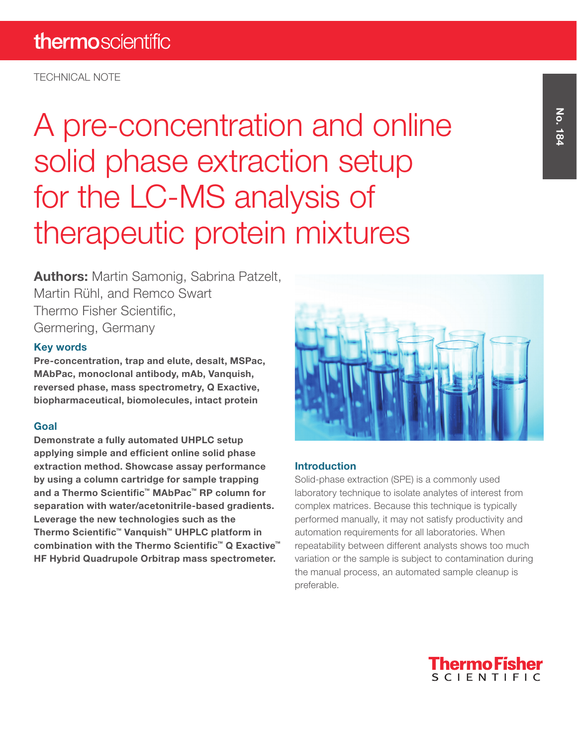TECHNICAL NOTE

A pre-concentration and online solid phase extraction setup for the LC-MS analysis of therapeutic protein mixtures

**Authors:** Martin Samonig, Sabrina Patzelt, Martin Rühl, and Remco Swart Thermo Fisher Scientific, Germering, Germany

## Key words

Pre-concentration, trap and elute, desalt, MSPac, MAbPac, monoclonal antibody, mAb, Vanquish, reversed phase, mass spectrometry, Q Exactive, biopharmaceutical, biomolecules, intact protein

## Goal

Demonstrate a fully automated UHPLC setup applying simple and efficient online solid phase extraction method. Showcase assay performance by using a column cartridge for sample trapping and a Thermo Scientific™ MAbPac™ RP column for separation with water/acetonitrile-based gradients. Leverage the new technologies such as the Thermo Scientific™ Vanquish™ UHPLC platform in combination with the Thermo Scientific™ Q Exactive™ HF Hybrid Quadrupole Orbitrap mass spectrometer.



## Introduction

Solid-phase extraction (SPE) is a commonly used laboratory technique to isolate analytes of interest from complex matrices. Because this technique is typically performed manually, it may not satisfy productivity and automation requirements for all laboratories. When repeatability between different analysts shows too much variation or the sample is subject to contamination during the manual process, an automated sample cleanup is preferable.

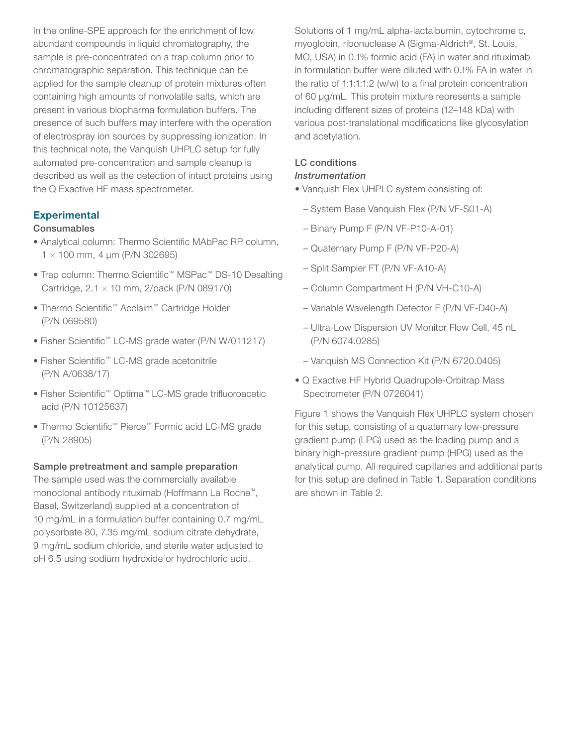In the online-SPE approach for the enrichment of low abundant compounds in liquid chromatography, the sample is pre-concentrated on a trap column prior to chromatographic separation. This technique can be applied for the sample cleanup of protein mixtures often containing high amounts of nonvolatile salts, which are present in various biopharma formulation buffers. The presence of such buffers may interfere with the operation of electrospray ion sources by suppressing ionization. In this technical note, the Vanquish UHPLC setup for fully automated pre-concentration and sample cleanup is described as well as the detection of intact proteins using the Q Exactive HF mass spectrometer.

#### **Experimental**

#### Consumables

- Analytical column: Thermo Scientific MAbPac RP column,  $1 \times 100$  mm, 4 µm (P/N 302695)
- Trap column: Thermo Scientific™ MSPac™ DS-10 Desalting Cartridge,  $2.1 \times 10$  mm,  $2$ /pack (P/N 089170)
- Thermo Scientific™ Acclaim™ Cartridge Holder (P/N 069580)
- Fisher Scientific™ LC-MS grade water (P/N W/011217)
- Fisher Scientific™ LC-MS grade acetonitrile (P/N A/0638/17)
- Fisher Scientific™ Optima™ LC-MS grade trifluoroacetic acid (P/N 10125637)
- Thermo Scientific™ Pierce™ Formic acid LC-MS grade (P/N 28905)

#### Sample pretreatment and sample preparation

The sample used was the commercially available monoclonal antibody rituximab (Hoffmann La Roche™, Basel, Switzerland) supplied at a concentration of 10 mg/mL in a formulation buffer containing 0.7 mg/mL polysorbate 80, 7.35 mg/mL sodium citrate dehydrate, 9 mg/mL sodium chloride, and sterile water adjusted to pH 6.5 using sodium hydroxide or hydrochloric acid.

Solutions of 1 mg/mL alpha-lactalbumin, cytochrome c, myoglobin, ribonuclease A (Sigma-Aldrich®, St. Louis, MO, USA) in 0.1% formic acid (FA) in water and rituximab in formulation buffer were diluted with 0.1% FA in water in the ratio of 1:1:1:1:2 (w/w) to a final protein concentration of 60 µg/mL. This protein mixture represents a sample including different sizes of proteins (12–148 kDa) with various post-translational modifications like glycosylation and acetylation.

#### LC conditions *Instrumentation*

- Vanquish Flex UHPLC system consisting of:
	- System Base Vanquish Flex (P/N VF-S01-A)
	- Binary Pump F (P/N VF-P10-A-01)
	- Quaternary Pump F (P/N VF-P20-A)
	- Split Sampler FT (P/N VF-A10-A)
	- Column Compartment H (P/N VH-C10-A)
	- Variable Wavelength Detector F (P/N VF-D40-A)
	- Ultra-Low Dispersion UV Monitor Flow Cell, 45 nL (P/N 6074.0285)
	- Vanquish MS Connection Kit (P/N 6720.0405)
- Q Exactive HF Hybrid Quadrupole-Orbitrap Mass Spectrometer (P/N 0726041)

Figure 1 shows the Vanquish Flex UHPLC system chosen for this setup, consisting of a quaternary low-pressure gradient pump (LPG) used as the loading pump and a binary high-pressure gradient pump (HPG) used as the analytical pump. All required capillaries and additional parts for this setup are defined in Table 1. Separation conditions are shown in Table 2.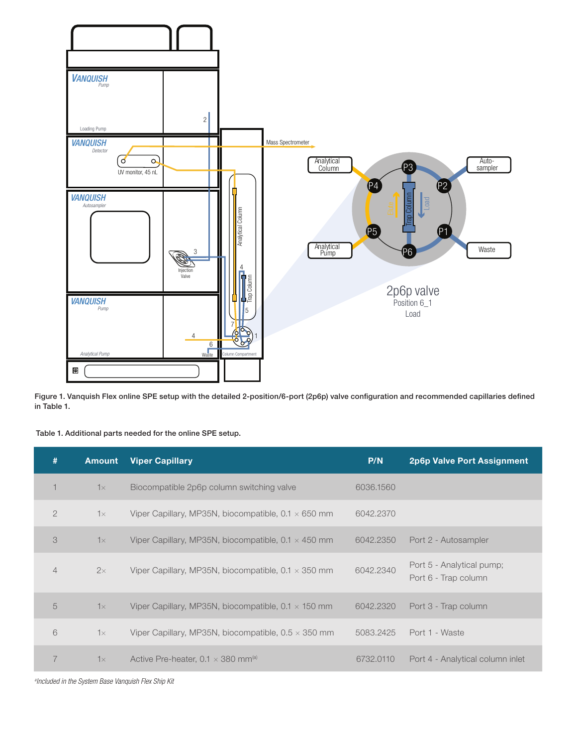

Figure 1. Vanquish Flex online SPE setup with the detailed 2-position/6-port (2p6p) valve configuration and recommended capillaries defined in Table 1.

Table 1. Additional parts needed for the online SPE setup.

| #              | <b>Amount</b> | <b>Viper Capillary</b>                                     | P/N       | 2p6p Valve Port Assignment                        |
|----------------|---------------|------------------------------------------------------------|-----------|---------------------------------------------------|
|                | $1\times$     | Biocompatible 2p6p column switching valve                  | 6036,1560 |                                                   |
| $\overline{2}$ | $1\times$     | Viper Capillary, MP35N, biocompatible, $0.1 \times 650$ mm | 6042.2370 |                                                   |
| 3              | $1\times$     | Viper Capillary, MP35N, biocompatible, $0.1 \times 450$ mm | 6042.2350 | Port 2 - Autosampler                              |
| $\overline{4}$ | 2x            | Viper Capillary, MP35N, biocompatible, $0.1 \times 350$ mm | 6042.2340 | Port 5 - Analytical pump;<br>Port 6 - Trap column |
| 5              | $1\times$     | Viper Capillary, MP35N, biocompatible, $0.1 \times 150$ mm | 6042,2320 | Port 3 - Trap column                              |
| 6              | $1\times$     | Viper Capillary, MP35N, biocompatible, $0.5 \times 350$ mm | 5083.2425 | Port 1 - Waste                                    |
|                | $1\times$     | Active Pre-heater, 0.1 $\times$ 380 mm <sup>(a)</sup>      | 6732,0110 | Port 4 - Analytical column inlet                  |

*a Included in the System Base Vanquish Flex Ship Kit*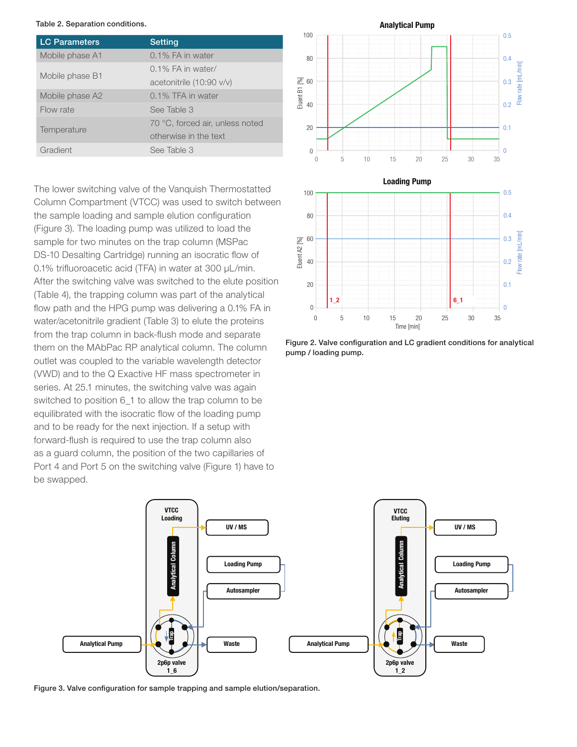#### Table 2. Separation conditions.

| <b>LC Parameters</b> | <b>Setting</b>                  |  |  |
|----------------------|---------------------------------|--|--|
| Mobile phase A1      | 0.1% FA in water                |  |  |
|                      | 0.1% FA in water/               |  |  |
| Mobile phase B1      | acetonitrile (10:90 v/v)        |  |  |
| Mobile phase A2      | 0.1% TFA in water               |  |  |
| Flow rate            | See Table 3                     |  |  |
|                      | 70 °C, forced air, unless noted |  |  |
| Temperature          | otherwise in the text           |  |  |
| Gradient             | See Table 3                     |  |  |

The lower switching valve of the Vanquish Thermostatted Column Compartment (VTCC) was used to switch between the sample loading and sample elution configuration (Figure 3). The loading pump was utilized to load the sample for two minutes on the trap column (MSPac DS-10 Desalting Cartridge) running an isocratic flow of 0.1% trifluoroacetic acid (TFA) in water at 300 µL/min. After the switching valve was switched to the elute position (Table 4), the trapping column was part of the analytical flow path and the HPG pump was delivering a 0.1% FA in water/acetonitrile gradient (Table 3) to elute the proteins from the trap column in back-flush mode and separate them on the MAbPac RP analytical column. The column outlet was coupled to the variable wavelength detector (VWD) and to the Q Exactive HF mass spectrometer in series. At 25.1 minutes, the switching valve was again switched to position 6\_1 to allow the trap column to be equilibrated with the isocratic flow of the loading pump and to be ready for the next injection. If a setup with forward-flush is required to use the trap column also as a guard column, the position of the two capillaries of Port 4 and Port 5 on the switching valve (Figure 1) have to be swapped.







Figure 3. Valve configuration for sample trapping and sample elution/separation.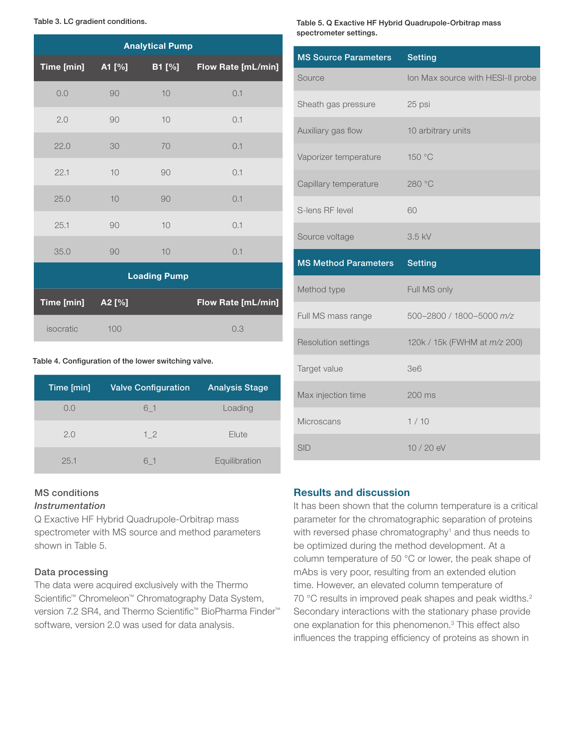Table 3. LC gradient conditions.

| <b>Analytical Pump</b> |        |               |                           |  |  |
|------------------------|--------|---------------|---------------------------|--|--|
| Time [min]             | A1 [%] | <b>B1 [%]</b> | Flow Rate [mL/min]        |  |  |
| 0.0                    | 90     | 10            | 0.1                       |  |  |
| 2.0                    | 90     | 10            | 0.1                       |  |  |
| 22.0                   | 30     | 70            | 0.1                       |  |  |
| 22.1                   | 10     | 90            | 0.1                       |  |  |
| 25.0                   | 10     | 90            | 0.1                       |  |  |
| 25.1                   | 90     | 10            | 0.1                       |  |  |
| 35.0                   | 90     | 10            | 0.1                       |  |  |
| <b>Loading Pump</b>    |        |               |                           |  |  |
| Time [min]             | A2 [%] |               | <b>Flow Rate [mL/min]</b> |  |  |
| isocratic              | 100    |               | 0.3                       |  |  |

#### Table 4. Configuration of the lower switching valve.

| Time [min] | <b>Valve Configuration</b> | <b>Analysis Stage</b> |
|------------|----------------------------|-----------------------|
| 0.0        | 6 1                        | Loading               |
| 2.0        | 12                         | Elute                 |
| 25.1       | 61                         | Equilibration         |

#### MS conditions

#### *Instrumentation*

Q Exactive HF Hybrid Quadrupole-Orbitrap mass spectrometer with MS source and method parameters shown in Table 5.

#### Data processing

The data were acquired exclusively with the Thermo Scientific™ Chromeleon™ Chromatography Data System, version 7.2 SR4, and Thermo Scientific<sup>™</sup> BioPharma Finder<sup>™</sup> software, version 2.0 was used for data analysis.

Table 5. Q Exactive HF Hybrid Quadrupole-Orbitrap mass spectrometer settings.

| <b>MS Source Parameters</b> | <b>Setting</b>                    |
|-----------------------------|-----------------------------------|
| Source                      | Ion Max source with HESI-II probe |
| Sheath gas pressure         | 25 psi                            |
| Auxiliary gas flow          | 10 arbitrary units                |
| Vaporizer temperature       | 150 °C                            |
| Capillary temperature       | 280 °C                            |
| S-lens RF level             | 60                                |
| Source voltage              | 3.5 kV                            |
|                             |                                   |
| <b>MS Method Parameters</b> | <b>Setting</b>                    |
| Method type                 | Full MS only                      |
| Full MS mass range          | 500-2800 / 1800-5000 m/z          |
| Resolution settings         | 120k / 15k (FWHM at m/z 200)      |
| Target value                | <b>3e6</b>                        |
| Max injection time          | $200 \text{ ms}$                  |
| Microscans                  | 1/10                              |

#### Results and discussion

It has been shown that the column temperature is a critical parameter for the chromatographic separation of proteins with reversed phase chromatography<sup>1</sup> and thus needs to be optimized during the method development. At a column temperature of 50 °C or lower, the peak shape of mAbs is very poor, resulting from an extended elution time. However, an elevated column temperature of 70 °C results in improved peak shapes and peak widths.<sup>2</sup> Secondary interactions with the stationary phase provide one explanation for this phenomenon.3 This effect also influences the trapping efficiency of proteins as shown in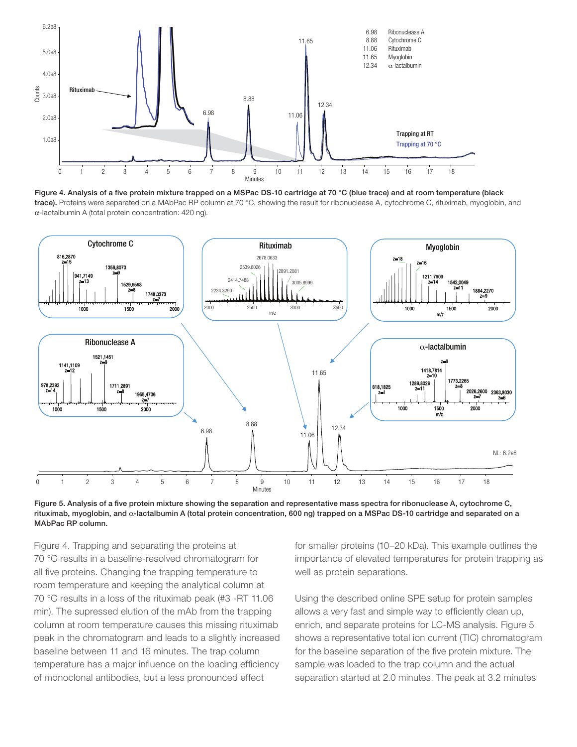

Figure 4. Analysis of a five protein mixture trapped on a MSPac DS-10 cartridge at 70 °C (blue trace) and at room temperature (black trace). Proteins were separated on a MAbPac RP column at 70 °C, showing the result for ribonuclease A, cytochrome C, rituximab, myoglobin, and α-lactalbumin A (total protein concentration: 420 ng).





Figure 4. Trapping and separating the proteins at 70 °C results in a baseline-resolved chromatogram for all five proteins. Changing the trapping temperature to room temperature and keeping the analytical column at 70 °C results in a loss of the rituximab peak (#3 -RT 11.06 min). The supressed elution of the mAb from the trapping column at room temperature causes this missing rituximab peak in the chromatogram and leads to a slightly increased baseline between 11 and 16 minutes. The trap column temperature has a major influence on the loading efficiency of monoclonal antibodies, but a less pronounced effect

for smaller proteins (10–20 kDa). This example outlines the importance of elevated temperatures for protein trapping as well as protein separations.

Using the described online SPE setup for protein samples allows a very fast and simple way to efficiently clean up, enrich, and separate proteins for LC-MS analysis. Figure 5 shows a representative total ion current (TIC) chromatogram for the baseline separation of the five protein mixture. The sample was loaded to the trap column and the actual separation started at 2.0 minutes. The peak at 3.2 minutes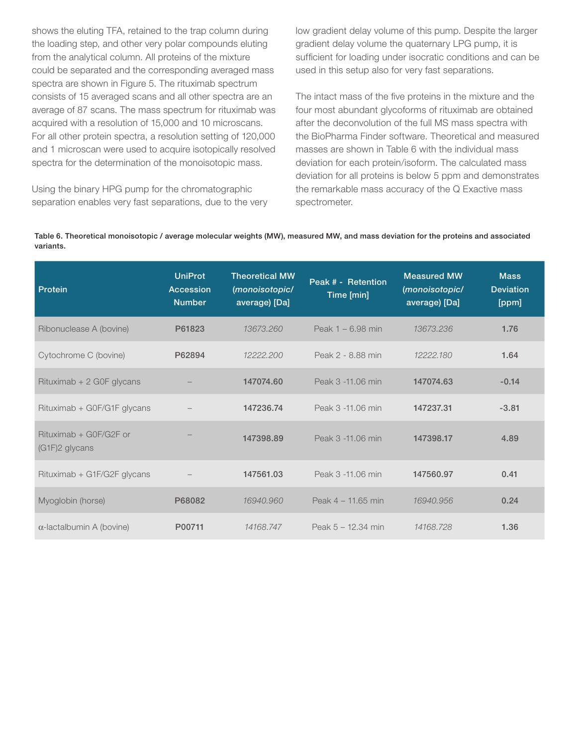shows the eluting TFA, retained to the trap column during the loading step, and other very polar compounds eluting from the analytical column. All proteins of the mixture could be separated and the corresponding averaged mass spectra are shown in Figure 5. The rituximab spectrum consists of 15 averaged scans and all other spectra are an average of 87 scans. The mass spectrum for rituximab was acquired with a resolution of 15,000 and 10 microscans. For all other protein spectra, a resolution setting of 120,000 and 1 microscan were used to acquire isotopically resolved spectra for the determination of the monoisotopic mass.

Using the binary HPG pump for the chromatographic separation enables very fast separations, due to the very

low gradient delay volume of this pump. Despite the larger gradient delay volume the quaternary LPG pump, it is sufficient for loading under isocratic conditions and can be used in this setup also for very fast separations.

The intact mass of the five proteins in the mixture and the four most abundant glycoforms of rituximab are obtained after the deconvolution of the full MS mass spectra with the BioPharma Finder software. Theoretical and measured masses are shown in Table 6 with the individual mass deviation for each protein/isoform. The calculated mass deviation for all proteins is below 5 ppm and demonstrates the remarkable mass accuracy of the Q Exactive mass spectrometer.

Table 6. Theoretical monoisotopic / average molecular weights (MW), measured MW, and mass deviation for the proteins and associated variants.

| Protein                                  | <b>UniProt</b><br><b>Accession</b><br><b>Number</b> | <b>Theoretical MW</b><br>(monoisotopic/<br>average) [Da] | Peak # - Retention<br>Time [min] | <b>Measured MW</b><br>(monoisotopic/<br>average) [Da] | <b>Mass</b><br><b>Deviation</b><br>[ppm] |
|------------------------------------------|-----------------------------------------------------|----------------------------------------------------------|----------------------------------|-------------------------------------------------------|------------------------------------------|
| Ribonuclease A (bovine)                  | P61823                                              | 13673.260                                                | Peak $1 - 6.98$ min              | 13673.236                                             | 1.76                                     |
| Cytochrome C (bovine)                    | P62894                                              | 12222.200                                                | Peak 2 - 8.88 min                | 12222.180                                             | 1.64                                     |
| Rituximab + 2 G0F glycans                |                                                     | 147074.60                                                | Peak 3 -11.06 min                | 147074.63                                             | $-0.14$                                  |
| Rituximab + G0F/G1F glycans              |                                                     | 147236.74                                                | Peak 3 -11.06 min                | 147237.31                                             | $-3.81$                                  |
| Rituximab + G0F/G2F or<br>(G1F)2 glycans |                                                     | 147398.89                                                | Peak 3 -11.06 min                | 147398.17                                             | 4.89                                     |
| Rituximab + G1F/G2F glycans              |                                                     | 147561.03                                                | Peak 3 -11.06 min                | 147560.97                                             | 0.41                                     |
| Myoglobin (horse)                        | P68082                                              | 16940.960                                                | Peak $4 - 11.65$ min             | 16940,956                                             | 0.24                                     |
| $\alpha$ -lactalbumin A (bovine)         | P00711                                              | 14168.747                                                | Peak 5 - 12.34 min               | 14168.728                                             | 1.36                                     |